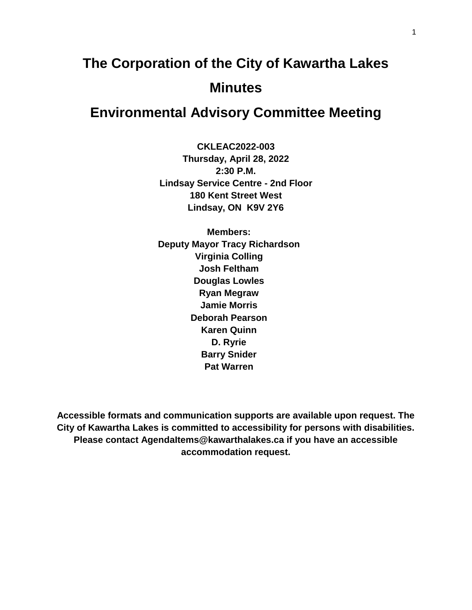# **The Corporation of the City of Kawartha Lakes Minutes**

# **Environmental Advisory Committee Meeting**

**CKLEAC2022-003 Thursday, April 28, 2022 2:30 P.M. Lindsay Service Centre - 2nd Floor 180 Kent Street West Lindsay, ON K9V 2Y6**

**Members: Deputy Mayor Tracy Richardson Virginia Colling Josh Feltham Douglas Lowles Ryan Megraw Jamie Morris Deborah Pearson Karen Quinn D. Ryrie Barry Snider Pat Warren**

**Accessible formats and communication supports are available upon request. The City of Kawartha Lakes is committed to accessibility for persons with disabilities. Please contact AgendaItems@kawarthalakes.ca if you have an accessible accommodation request.**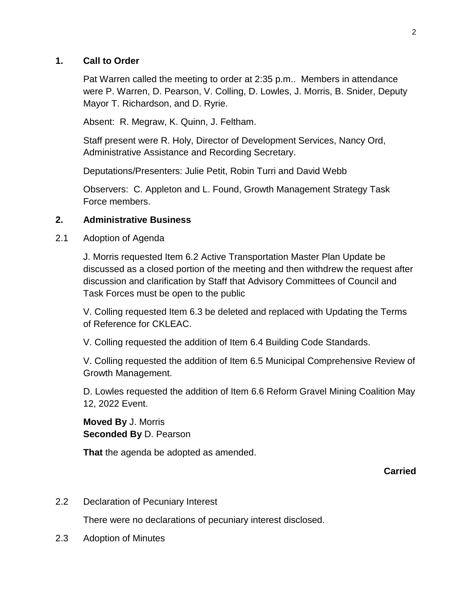#### **1. Call to Order**

Pat Warren called the meeting to order at 2:35 p.m.. Members in attendance were P. Warren, D. Pearson, V. Colling, D. Lowles, J. Morris, B. Snider, Deputy Mayor T. Richardson, and D. Ryrie.

Absent: R. Megraw, K. Quinn, J. Feltham.

Staff present were R. Holy, Director of Development Services, Nancy Ord, Administrative Assistance and Recording Secretary.

Deputations/Presenters: Julie Petit, Robin Turri and David Webb

Observers: C. Appleton and L. Found, Growth Management Strategy Task Force members.

#### **2. Administrative Business**

2.1 Adoption of Agenda

J. Morris requested Item 6.2 Active Transportation Master Plan Update be discussed as a closed portion of the meeting and then withdrew the request after discussion and clarification by Staff that Advisory Committees of Council and Task Forces must be open to the public

V. Colling requested Item 6.3 be deleted and replaced with Updating the Terms of Reference for CKLEAC.

V. Colling requested the addition of Item 6.4 Building Code Standards.

V. Colling requested the addition of Item 6.5 Municipal Comprehensive Review of Growth Management.

D. Lowles requested the addition of Item 6.6 Reform Gravel Mining Coalition May 12, 2022 Event.

**Moved By** J. Morris **Seconded By** D. Pearson

**That** the agenda be adopted as amended.

**Carried**

2.2 Declaration of Pecuniary Interest

There were no declarations of pecuniary interest disclosed.

2.3 Adoption of Minutes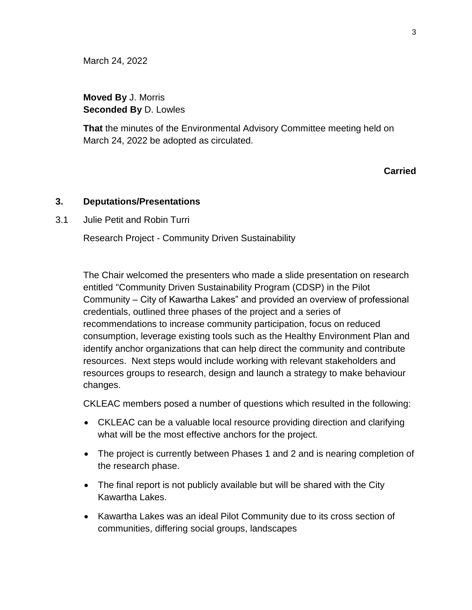March 24, 2022

**Moved By** J. Morris **Seconded By** D. Lowles

**That** the minutes of the Environmental Advisory Committee meeting held on March 24, 2022 be adopted as circulated.

#### **Carried**

#### **3. Deputations/Presentations**

3.1 Julie Petit and Robin Turri

Research Project - Community Driven Sustainability

The Chair welcomed the presenters who made a slide presentation on research entitled "Community Driven Sustainability Program (CDSP) in the Pilot Community – City of Kawartha Lakes" and provided an overview of professional credentials, outlined three phases of the project and a series of recommendations to increase community participation, focus on reduced consumption, leverage existing tools such as the Healthy Environment Plan and identify anchor organizations that can help direct the community and contribute resources. Next steps would include working with relevant stakeholders and resources groups to research, design and launch a strategy to make behaviour changes.

CKLEAC members posed a number of questions which resulted in the following:

- CKLEAC can be a valuable local resource providing direction and clarifying what will be the most effective anchors for the project.
- The project is currently between Phases 1 and 2 and is nearing completion of the research phase.
- The final report is not publicly available but will be shared with the City Kawartha Lakes.
- Kawartha Lakes was an ideal Pilot Community due to its cross section of communities, differing social groups, landscapes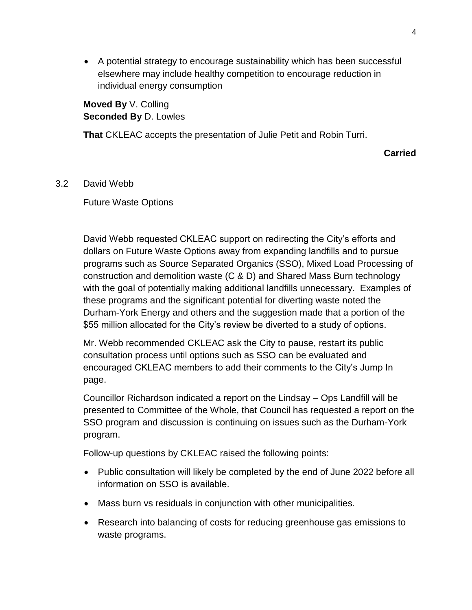A potential strategy to encourage sustainability which has been successful elsewhere may include healthy competition to encourage reduction in individual energy consumption

**Moved By** V. Colling **Seconded By** D. Lowles

**That** CKLEAC accepts the presentation of Julie Petit and Robin Turri.

**Carried**

3.2 David Webb

Future Waste Options

David Webb requested CKLEAC support on redirecting the City's efforts and dollars on Future Waste Options away from expanding landfills and to pursue programs such as Source Separated Organics (SSO), Mixed Load Processing of construction and demolition waste (C & D) and Shared Mass Burn technology with the goal of potentially making additional landfills unnecessary. Examples of these programs and the significant potential for diverting waste noted the Durham-York Energy and others and the suggestion made that a portion of the \$55 million allocated for the City's review be diverted to a study of options.

Mr. Webb recommended CKLEAC ask the City to pause, restart its public consultation process until options such as SSO can be evaluated and encouraged CKLEAC members to add their comments to the City's Jump In page.

Councillor Richardson indicated a report on the Lindsay – Ops Landfill will be presented to Committee of the Whole, that Council has requested a report on the SSO program and discussion is continuing on issues such as the Durham-York program.

Follow-up questions by CKLEAC raised the following points:

- Public consultation will likely be completed by the end of June 2022 before all information on SSO is available.
- Mass burn vs residuals in conjunction with other municipalities.
- Research into balancing of costs for reducing greenhouse gas emissions to waste programs.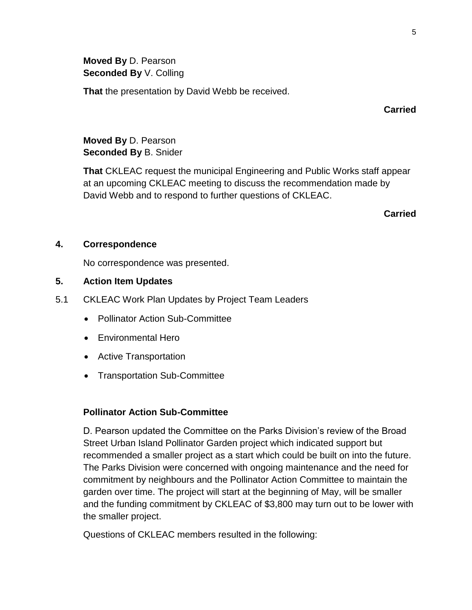**Moved By** D. Pearson **Seconded By** V. Colling

**That** the presentation by David Webb be received.

**Carried**

**Moved By** D. Pearson **Seconded By** B. Snider

**That** CKLEAC request the municipal Engineering and Public Works staff appear at an upcoming CKLEAC meeting to discuss the recommendation made by David Webb and to respond to further questions of CKLEAC.

**Carried**

#### **4. Correspondence**

No correspondence was presented.

#### **5. Action Item Updates**

- 5.1 CKLEAC Work Plan Updates by Project Team Leaders
	- Pollinator Action Sub-Committee
	- Environmental Hero
	- Active Transportation
	- Transportation Sub-Committee

#### **Pollinator Action Sub-Committee**

D. Pearson updated the Committee on the Parks Division's review of the Broad Street Urban Island Pollinator Garden project which indicated support but recommended a smaller project as a start which could be built on into the future. The Parks Division were concerned with ongoing maintenance and the need for commitment by neighbours and the Pollinator Action Committee to maintain the garden over time. The project will start at the beginning of May, will be smaller and the funding commitment by CKLEAC of \$3,800 may turn out to be lower with the smaller project.

Questions of CKLEAC members resulted in the following: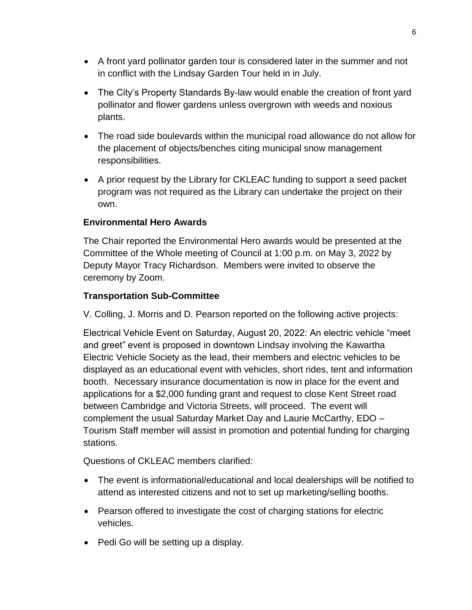- A front yard pollinator garden tour is considered later in the summer and not in conflict with the Lindsay Garden Tour held in in July.
- The City's Property Standards By-law would enable the creation of front yard pollinator and flower gardens unless overgrown with weeds and noxious plants.
- The road side boulevards within the municipal road allowance do not allow for the placement of objects/benches citing municipal snow management responsibilities.
- A prior request by the Library for CKLEAC funding to support a seed packet program was not required as the Library can undertake the project on their own.

# **Environmental Hero Awards**

The Chair reported the Environmental Hero awards would be presented at the Committee of the Whole meeting of Council at 1:00 p.m. on May 3, 2022 by Deputy Mayor Tracy Richardson. Members were invited to observe the ceremony by Zoom.

#### **Transportation Sub-Committee**

V. Colling, J. Morris and D. Pearson reported on the following active projects:

Electrical Vehicle Event on Saturday, August 20, 2022: An electric vehicle "meet and greet" event is proposed in downtown Lindsay involving the Kawartha Electric Vehicle Society as the lead, their members and electric vehicles to be displayed as an educational event with vehicles, short rides, tent and information booth. Necessary insurance documentation is now in place for the event and applications for a \$2,000 funding grant and request to close Kent Street road between Cambridge and Victoria Streets, will proceed. The event will complement the usual Saturday Market Day and Laurie McCarthy, EDO – Tourism Staff member will assist in promotion and potential funding for charging stations.

Questions of CKLEAC members clarified:

- The event is informational/educational and local dealerships will be notified to attend as interested citizens and not to set up marketing/selling booths.
- Pearson offered to investigate the cost of charging stations for electric vehicles.
- Pedi Go will be setting up a display.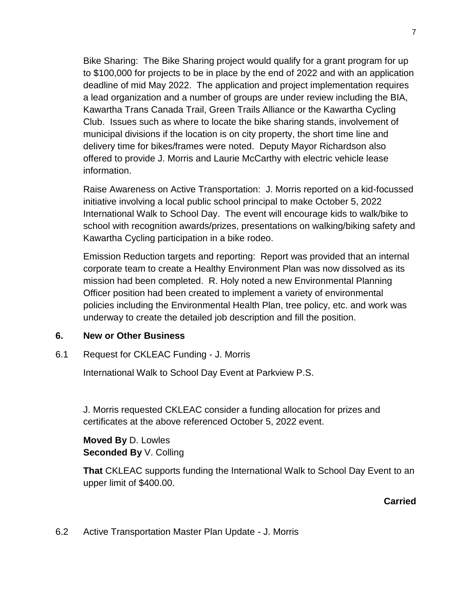Bike Sharing: The Bike Sharing project would qualify for a grant program for up to \$100,000 for projects to be in place by the end of 2022 and with an application deadline of mid May 2022. The application and project implementation requires a lead organization and a number of groups are under review including the BIA, Kawartha Trans Canada Trail, Green Trails Alliance or the Kawartha Cycling Club. Issues such as where to locate the bike sharing stands, involvement of municipal divisions if the location is on city property, the short time line and delivery time for bikes/frames were noted. Deputy Mayor Richardson also offered to provide J. Morris and Laurie McCarthy with electric vehicle lease information.

Raise Awareness on Active Transportation: J. Morris reported on a kid-focussed initiative involving a local public school principal to make October 5, 2022 International Walk to School Day. The event will encourage kids to walk/bike to school with recognition awards/prizes, presentations on walking/biking safety and Kawartha Cycling participation in a bike rodeo.

Emission Reduction targets and reporting: Report was provided that an internal corporate team to create a Healthy Environment Plan was now dissolved as its mission had been completed. R. Holy noted a new Environmental Planning Officer position had been created to implement a variety of environmental policies including the Environmental Health Plan, tree policy, etc. and work was underway to create the detailed job description and fill the position.

#### **6. New or Other Business**

6.1 Request for CKLEAC Funding - J. Morris

International Walk to School Day Event at Parkview P.S.

J. Morris requested CKLEAC consider a funding allocation for prizes and certificates at the above referenced October 5, 2022 event.

**Moved By** D. Lowles **Seconded By** V. Colling

**That** CKLEAC supports funding the International Walk to School Day Event to an upper limit of \$400.00.

#### **Carried**

6.2 Active Transportation Master Plan Update - J. Morris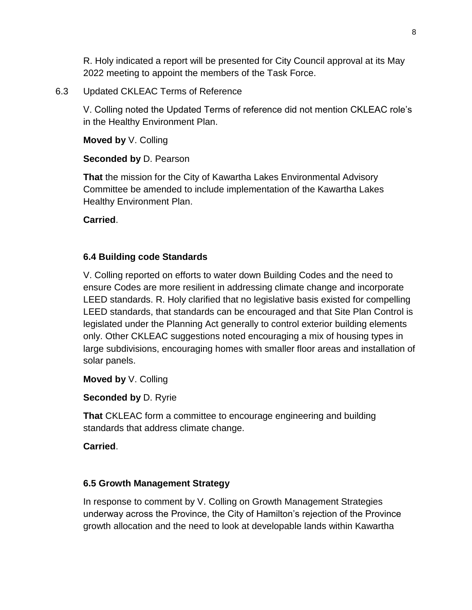R. Holy indicated a report will be presented for City Council approval at its May 2022 meeting to appoint the members of the Task Force.

#### 6.3 Updated CKLEAC Terms of Reference

V. Colling noted the Updated Terms of reference did not mention CKLEAC role's in the Healthy Environment Plan.

**Moved by** V. Colling

**Seconded by** D. Pearson

**That** the mission for the City of Kawartha Lakes Environmental Advisory Committee be amended to include implementation of the Kawartha Lakes Healthy Environment Plan.

**Carried**.

# **6.4 Building code Standards**

V. Colling reported on efforts to water down Building Codes and the need to ensure Codes are more resilient in addressing climate change and incorporate LEED standards. R. Holy clarified that no legislative basis existed for compelling LEED standards, that standards can be encouraged and that Site Plan Control is legislated under the Planning Act generally to control exterior building elements only. Other CKLEAC suggestions noted encouraging a mix of housing types in large subdivisions, encouraging homes with smaller floor areas and installation of solar panels.

**Moved by** V. Colling

**Seconded by** D. Ryrie

**That** CKLEAC form a committee to encourage engineering and building standards that address climate change.

**Carried**.

# **6.5 Growth Management Strategy**

In response to comment by V. Colling on Growth Management Strategies underway across the Province, the City of Hamilton's rejection of the Province growth allocation and the need to look at developable lands within Kawartha